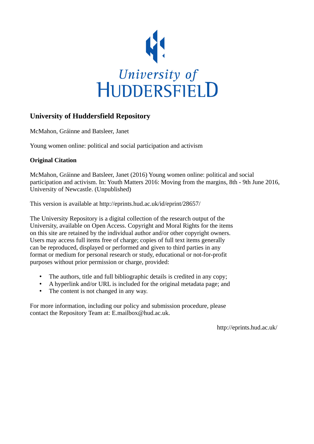

## **University of Huddersfield Repository**

McMahon, Gráinne and Batsleer, Janet

Young women online: political and social participation and activism

## **Original Citation**

McMahon, Gráinne and Batsleer, Janet (2016) Young women online: political and social participation and activism. In: Youth Matters 2016: Moving from the margins, 8th - 9th June 2016, University of Newcastle. (Unpublished)

This version is available at http://eprints.hud.ac.uk/id/eprint/28657/

The University Repository is a digital collection of the research output of the University, available on Open Access. Copyright and Moral Rights for the items on this site are retained by the individual author and/or other copyright owners. Users may access full items free of charge; copies of full text items generally can be reproduced, displayed or performed and given to third parties in any format or medium for personal research or study, educational or not-for-profit purposes without prior permission or charge, provided:

- The authors, title and full bibliographic details is credited in any copy;
- A hyperlink and/or URL is included for the original metadata page; and
- The content is not changed in any way.

For more information, including our policy and submission procedure, please contact the Repository Team at: E.mailbox@hud.ac.uk.

http://eprints.hud.ac.uk/